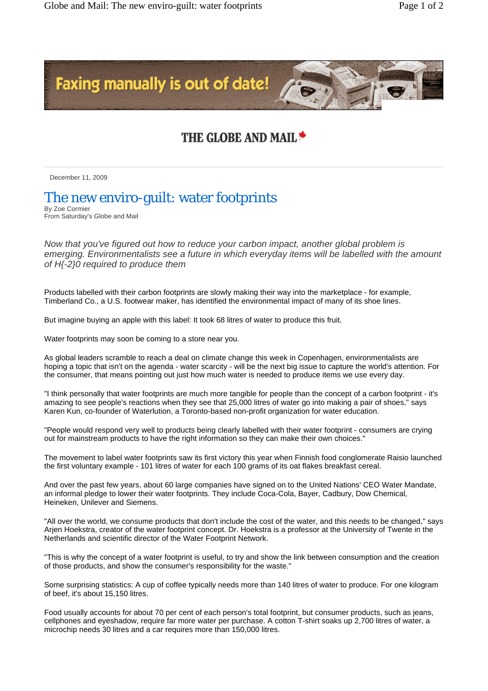

## THE GLOBE AND MAIL <del>\*</del>

December 11, 2009

## The new enviro-guilt: water footprints

By Zoe Cormier From Saturday's Globe and Mail

*Now that you've figured out how to reduce your carbon impact, another global problem is emerging. Environmentalists see a future in which everyday items will be labelled with the amount of H{-2}0 required to produce them* 

Products labelled with their carbon footprints are slowly making their way into the marketplace - for example, Timberland Co., a U.S. footwear maker, has identified the environmental impact of many of its shoe lines.

But imagine buying an apple with this label: It took 68 litres of water to produce this fruit.

Water footprints may soon be coming to a store near you.

As global leaders scramble to reach a deal on climate change this week in Copenhagen, environmentalists are hoping a topic that isn't on the agenda - water scarcity - will be the next big issue to capture the world's attention. For the consumer, that means pointing out just how much water is needed to produce items we use every day.

"I think personally that water footprints are much more tangible for people than the concept of a carbon footprint - it's amazing to see people's reactions when they see that 25,000 litres of water go into making a pair of shoes," says Karen Kun, co-founder of Waterlution, a Toronto-based non-profit organization for water education.

"People would respond very well to products being clearly labelled with their water footprint - consumers are crying out for mainstream products to have the right information so they can make their own choices."

The movement to label water footprints saw its first victory this year when Finnish food conglomerate Raisio launched the first voluntary example - 101 litres of water for each 100 grams of its oat flakes breakfast cereal.

And over the past few years, about 60 large companies have signed on to the United Nations' CEO Water Mandate, an informal pledge to lower their water footprints. They include Coca-Cola, Bayer, Cadbury, Dow Chemical, Heineken, Unilever and Siemens.

"All over the world, we consume products that don't include the cost of the water, and this needs to be changed," says Arjen Hoekstra, creator of the water footprint concept. Dr. Hoekstra is a professor at the University of Twente in the Netherlands and scientific director of the Water Footprint Network.

"This is why the concept of a water footprint is useful, to try and show the link between consumption and the creation of those products, and show the consumer's responsibility for the waste."

Some surprising statistics: A cup of coffee typically needs more than 140 litres of water to produce. For one kilogram of beef, it's about 15,150 litres.

Food usually accounts for about 70 per cent of each person's total footprint, but consumer products, such as jeans, cellphones and eyeshadow, require far more water per purchase. A cotton T-shirt soaks up 2,700 litres of water, a microchip needs 30 litres and a car requires more than 150,000 litres.